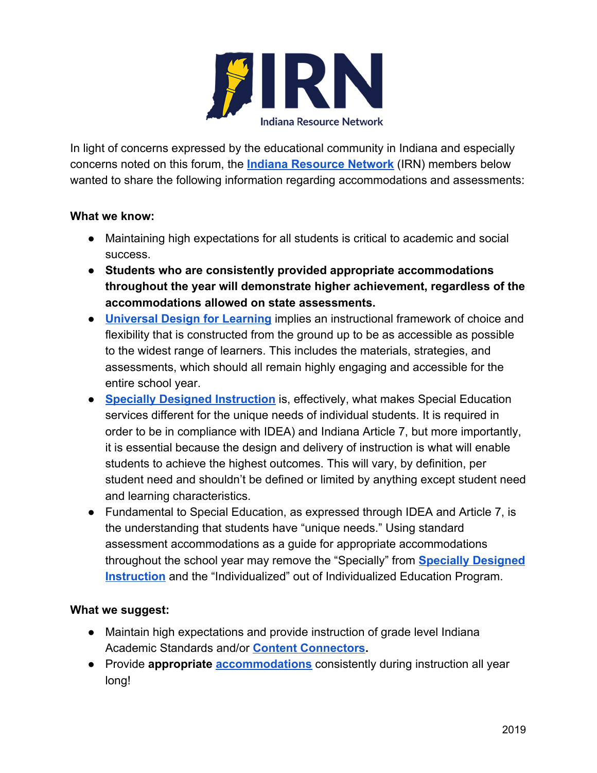

In light of concerns expressed by the educational community in Indiana and especially concerns noted on this forum, the **[Indiana Resource Network](https://www.doe.in.gov/specialed/indiana-resource-network)** (IRN) members below wanted to share the following information regarding accommodations and assessments:

## **What we know:**

- Maintaining high expectations for all students is critical to academic and social success.
- **Students who are consistently provided appropriate accommodations throughout the year will demonstrate higher achievement, regardless of the accommodations allowed on state assessments.**
- **[Universal Design for Learning](https://www.patinsproject.org/services/udl)** implies an instructional framework of choice and flexibility that is constructed from the ground up to be as accessible as possible to the widest range of learners. This includes the materials, strategies, and assessments, which should all remain highly engaging and accessible for the entire school year.
- **[Specially Designed Instruction](https://www.indianaieprc.org/images/lcmats/SDI/SpeciallyDesignedInstructionSTWBT-Edits.pdf)** is, effectively, what makes Special Education services different for the unique needs of individual students. It is required in order to be in compliance with IDEA) and Indiana Article 7, but more importantly, it is essential because the design and delivery of instruction is what will enable students to achieve the highest outcomes. This will vary, by definition, per student need and shouldn't be defined or limited by anything except student need and learning characteristics.
- Fundamental to Special Education, as expressed through IDEA and Article 7, is the understanding that students have "unique needs." Using standard assessment accommodations as a guide for appropriate accommodations throughout the school year may remove the "Specially" from **[Specially Designed](https://www.indianaieprc.org/images/lcmats/SDI/SpeciallyDesignedInstructionSTWBT-Edits.pdf) [Instruction](https://www.indianaieprc.org/images/lcmats/SDI/SpeciallyDesignedInstructionSTWBT-Edits.pdf)** and the "Individualized" out of Individualized Education Program.

## **What we suggest:**

- Maintain high expectations and provide instruction of grade level Indiana Academic Standards and/or **[Content Connectors.](https://www.doe.in.gov/standards/content-connectors)**
- Provide **appropriate [accommodations](https://www.doe.in.gov/specialed/accommodations-and-modifications)** consistently during instruction all year long!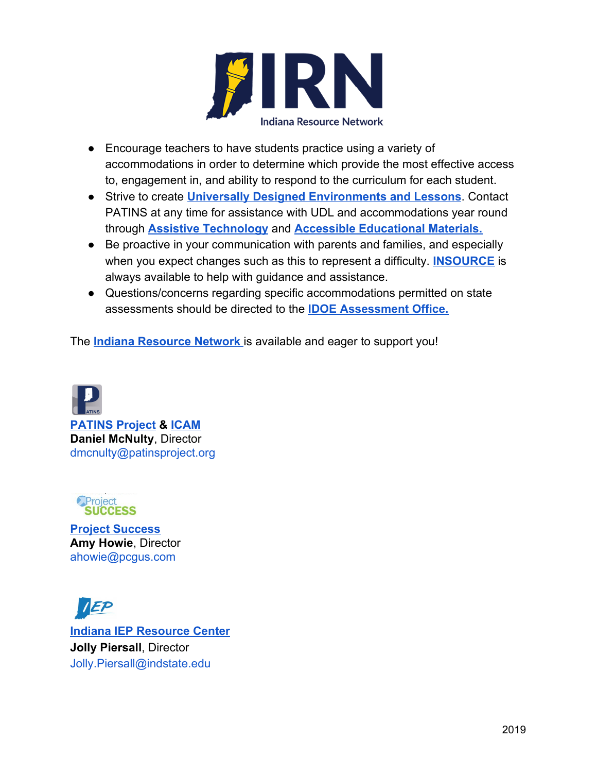

- Encourage teachers to have students practice using a variety of accommodations in order to determine which provide the most effective access to, engagement in, and ability to respond to the curriculum for each student.
- Strive to create **[Universally Designed Environments and Lessons](https://www.patinsproject.org/services/udl)**. Contact PATINS at any time for assistance with UDL and accommodations year round through **[Assistive Technology](https://www.patinsproject.org/)** and **[Accessible Educational Materials.](https://www.patinsproject.org/icam/icam)**
- Be proactive in your communication with parents and families, and especially when you expect changes such as this to represent a difficulty. **[INSOURCE](http://insource.org/)** is always available to help with guidance and assistance.
- Questions/concerns regarding specific accommodations permitted on state assessments should be directed to the **[IDOE Assessment Office.](https://www.doe.in.gov/assessment)**

The **[Indiana Resource Network](https://www.doe.in.gov/specialed/indiana-resource-network)** is available and eager to support you!



 **[PATINS Project](http://www.patinsproject.org/) & [ICAM](https://www.patinsproject.org/icam/icam) Daniel McNulty**, Director [dmcnulty@patinsproject.org](mailto:dmcnulty@patinsproject.org)



**[Project Success](https://www.projectsuccess.org/) Amy Howie**, Director [ahowie@pcgus.com](mailto:ahowie@pcgus.com)

EP **[Indiana IEP Resource Center](https://www.indianaieprc.org/index.php) Jolly Piersall**, Director [Jolly.Piersall@indstate.edu](mailto:Jolly.Piersall@indstate.edu)